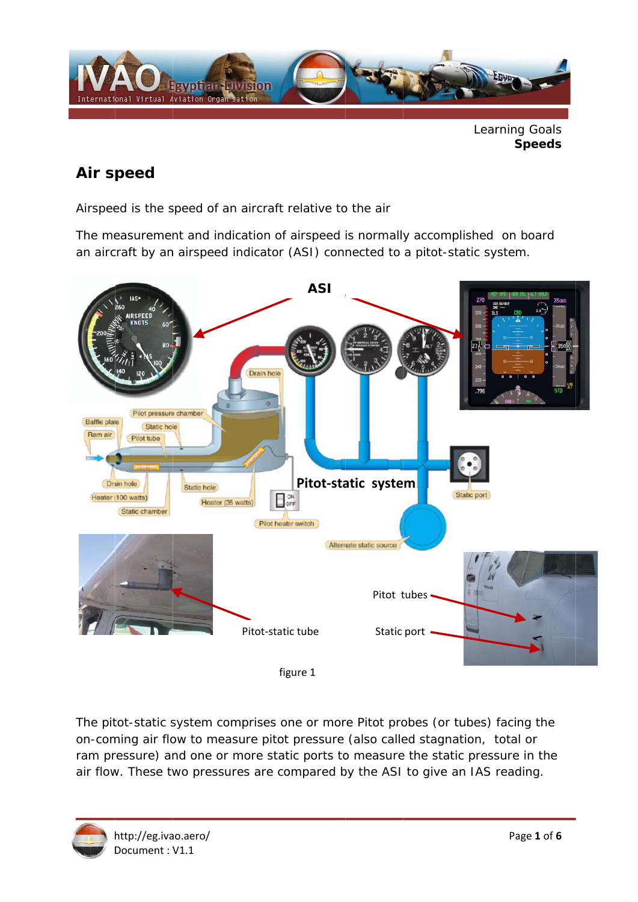

Learning Goals **Speeds** 

## Air speed

Airspeed is the speed of an aircraft relative to the air

The measurement and indication of airspeed is normally accomplished on board an aircraft by an airspeed indicator (ASI) connected to a pitot-static system.



The pitot-static system comprises one or more Pitot probes (or tubes) facing the on-coming air flow to measure pitot pressure (also called stagnation, total or ram pressure) and one or more static ports to measure the static pressure in the air flow. These two pressures are compared by the ASI to give an IAS reading.

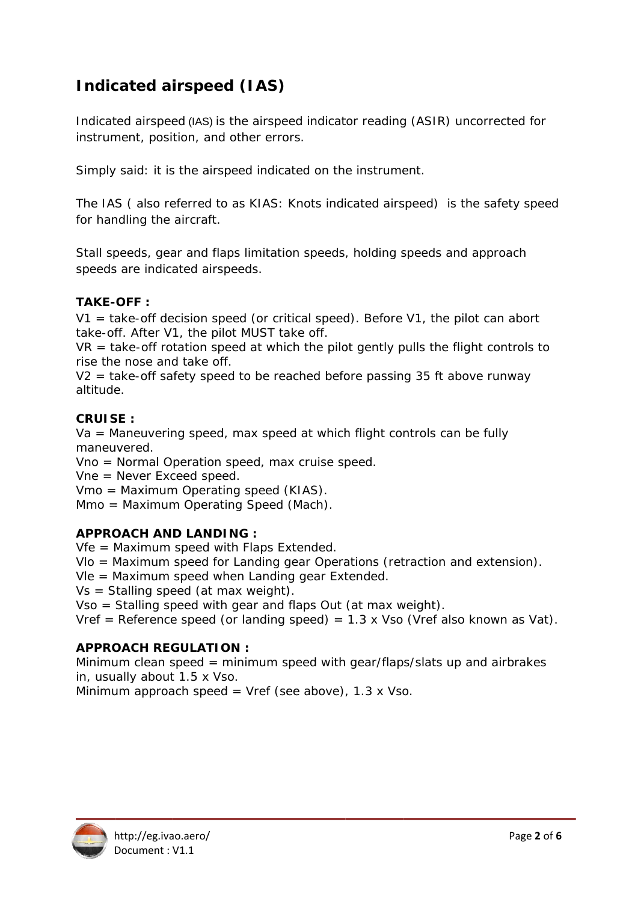# **Indicated airspeed (IAS)**

Indicated airspeed (IAS) is the airspeed indicator reading (ASIR) uncorrected for instrument, position, and other errors.

Simply said: it is the airspeed indicated on the instrument.

The IAS (also referred to as KIAS: Knots indicated airspeed) is the safety speed for handling the aircraft.

Stall speeds, gear and flaps limitation speeds, holding speeds and approach speeds are indicated airspeeds.

### TAKE-OFF:

 $V1 =$  take-off decision speed (or critical speed). Before V1, the pilot can abort take-off. After V1, the pilot MUST take off.

 $VR =$  take-off rotation speed at which the pilot gently pulls the flight controls to rise the nose and take off.

 $V2$  = take-off safety speed to be reached before passing 35 ft above runway altitude.

#### $CRIIISE$

 $Va =$  Maneuvering speed, max speed at which flight controls can be fully maneuvered.

Vno = Normal Operation speed, max cruise speed.

 $Vne = Never Excel speed.$ 

Vmo = Maximum Operating speed (KIAS).

Mmo = Maximum Operating Speed (Mach).

#### **APPROACH AND LANDING:**

 $Vfe = Maximum speed$  with Flaps Extended.

 $V$ lo = Maximum speed for Landing gear Operations (retraction and extension).

Vle = Maximum speed when Landing gear Extended.

 $Vs = Stalling speed (at max weight).$ 

Vso = Stalling speed with gear and flaps Out (at max weight).

Vref = Reference speed (or landing speed) =  $1.3 \times$  Vso (Vref also known as Vat).

#### **APPROACH REGULATION:**

Minimum clean speed = minimum speed with gear/flaps/slats up and airbrakes in, usually about 1.5 x Vso.

Minimum approach speed = Vref (see above),  $1.3 \times V$ so.

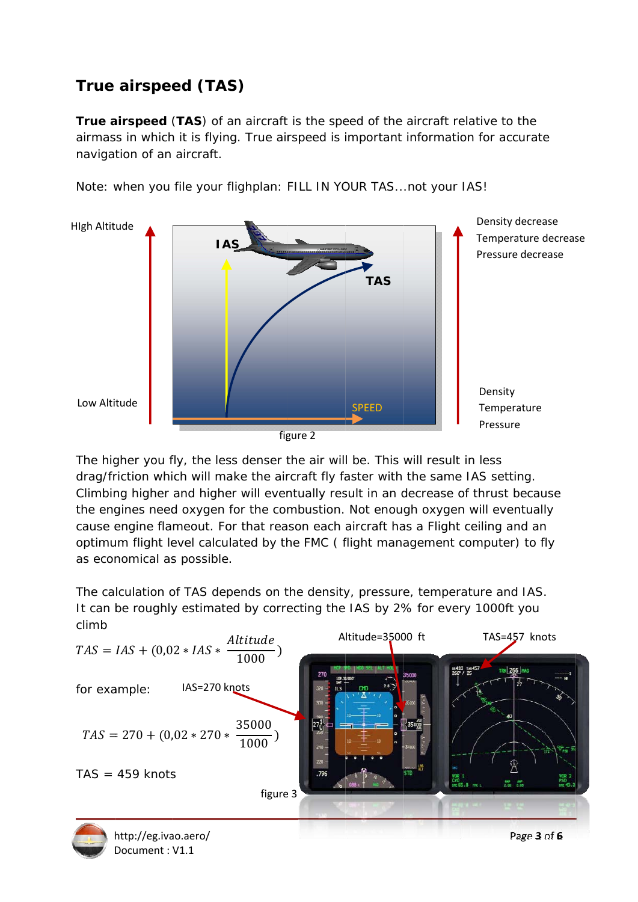# **True airspeed (TAS)**

Document: V1.1

True airspeed (TAS) of an aircraft is the speed of the aircraft relative to the airmass in which it is flying. True airspeed is important information for accurate navigation of an aircraft.





The higher you fly, the less denser the air will be. This will result in less drag/friction which will make the aircraft fly faster with the same IAS setting. Climbing higher and higher will eventually result in an decrease of thrust because the engines need oxygen for the combustion. Not enough oxygen will eventually cause engine flameout. For that reason each aircraft has a Flight ceiling and an optimum flight level calculated by the FMC (flight management computer) to fly as economical as possible.

The calculation of TAS depends on the density, pressure, temperature and IAS. It can be roughly estimated by correcting the IAS by 2% for every 1000ft you climb

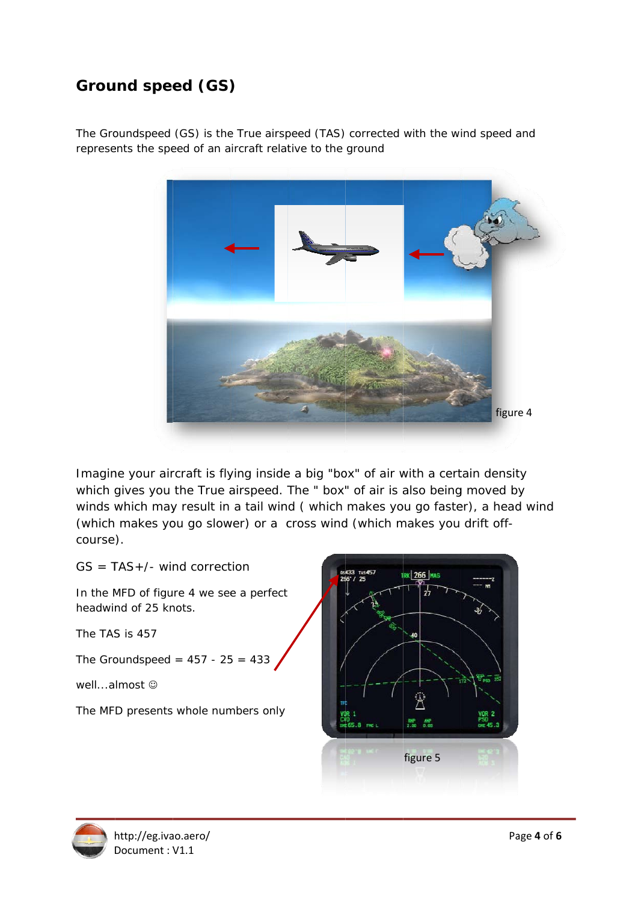## Ground speed (GS)

The Groundspeed (GS) is the True airspeed (TAS) corrected with the wind speed and represents the speed of an aircraft relative to the ground



Imagine your aircraft is flying inside a big "box" of air with a certain density which gives you the True airspeed. The " box" of air is also being moved by winds which may result in a tail wind (which makes you go faster), a head wind (which makes you go slower) or a cross wind (which makes you drift offcourse ).

 $GS = TAS + / -$  wind correction

In the MFD of figure 4 we see a perfect headwind of 25 knots.

The TAS S is 457

The Groundspeed =  $457 - 25 = 433$ 

well...almost ©

The MFD presents whole numbers only



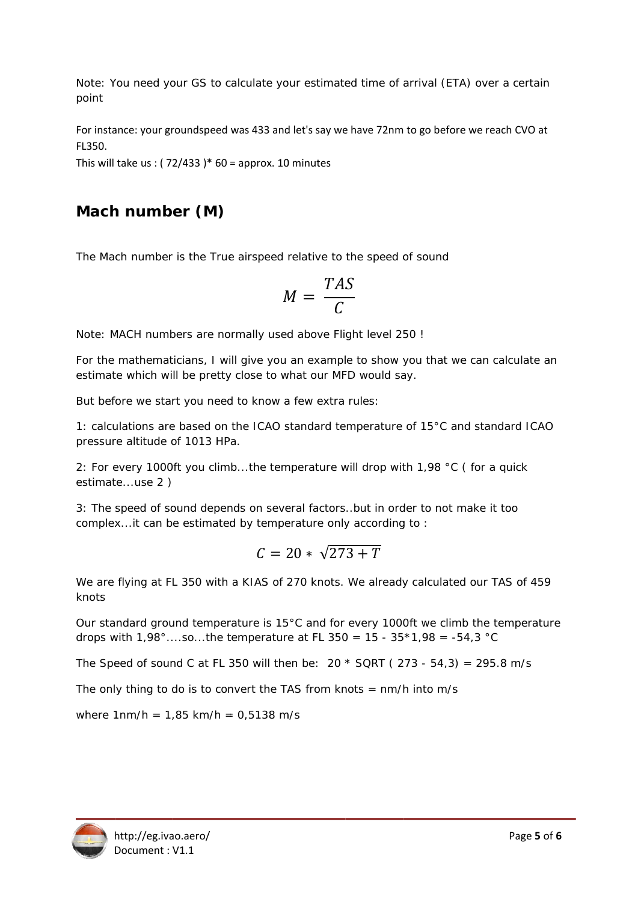Note: You need your GS to calculate your estimated time of arrival (ETA) over a certain point

For instance: your groundspeed was 433 and let's say we have 72nm to go before we reach CVO at FL350.

This will take us:  $(72/433)*60 =$  approx. 10 minutes

## Mach number (M)

The Mach number is the True airspeed relative to the speed of sound

$$
M = \frac{TAS}{C}
$$

Note: MACH numbers are normally used above Flight level 250 !

For the mathematicians. I will give you an example to show you that we can calculate an estimate which will be pretty close to what our MFD would say.

But before we start you need to know a few extra rules:

1: calculations are based on the ICAO standard temperature of 15°C and standard ICAO pressure altitude of 1013 HPa.

2: For every 1000ft you climb...the temperature will drop with 1,98 °C (for a quick estimate...use 2)

3: The speed of sound depends on several factors. but in order to not make it too complex... it can be estimated by temperature only according to:

$$
C=20*\sqrt{273+T}
$$

We are flying at FL 350 with a KIAS of 270 knots. We already calculated our TAS of 459 knots

Our standard ground temperature is 15°C and for every 1000ft we climb the temperature drops with  $1,98^{\circ}$ ....so...the temperature at FL 350 = 15 - 35\*1,98 = -54,3 °C

The Speed of sound C at FL 350 will then be: 20  $*$  SQRT (273 - 54,3) = 295.8 m/s

The only thing to do is to convert the TAS from knots  $=$  nm/h into m/s

where  $1nm/h = 1,85 km/h = 0,5138 m/s$